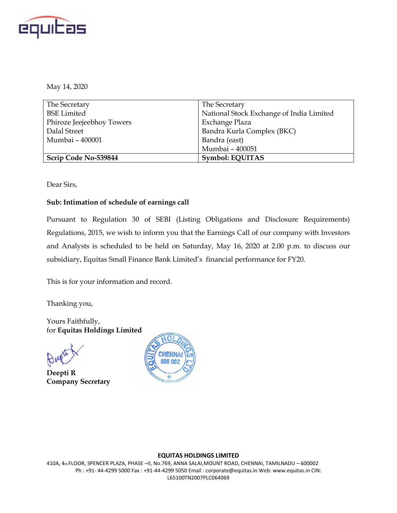

May 14, 2020

| The Secretary             | The Secretary                            |
|---------------------------|------------------------------------------|
| <b>BSE</b> Limited        | National Stock Exchange of India Limited |
| Phiroze Jeejeebhoy Towers | Exchange Plaza                           |
| Dalal Street              | Bandra Kurla Complex (BKC)               |
| Mumbai - 400001           | Bandra (east)                            |
|                           | Mumbai - 400051                          |
| Scrip Code No-539844      | <b>Symbol: EQUITAS</b>                   |

Dear Sirs,

#### **Sub: Intimation of schedule of earnings call**

Pursuant to Regulation 30 of SEBI (Listing Obligations and Disclosure Requirements) Regulations, 2015, we wish to inform you that the Earnings Call of our company with Investors and Analysts is scheduled to be held on Saturday, May 16, 2020 at 2.00 p.m. to discuss our subsidiary, Equitas Small Finance Bank Limited's financial performance for FY20.

This is for your information and record.

Thanking you,

Yours Faithfully, for **Equitas Holdings Limited**



**Deepti R Company Secretary**



#### **EQUITAS HOLDINGS LIMITED**

410A, 4th FLOOR, SPENCER PLAZA, PHASE –II, No.769, ANNA SALAI,MOUNT ROAD, CHENNAI, TAMILNADU – 600002 Ph : +91- 44-4299 5000 Fax : +91-44-4299 5050 Email : corporate@equitas.in Web: www.equitas.in CIN: L65100TN2007PLC064069